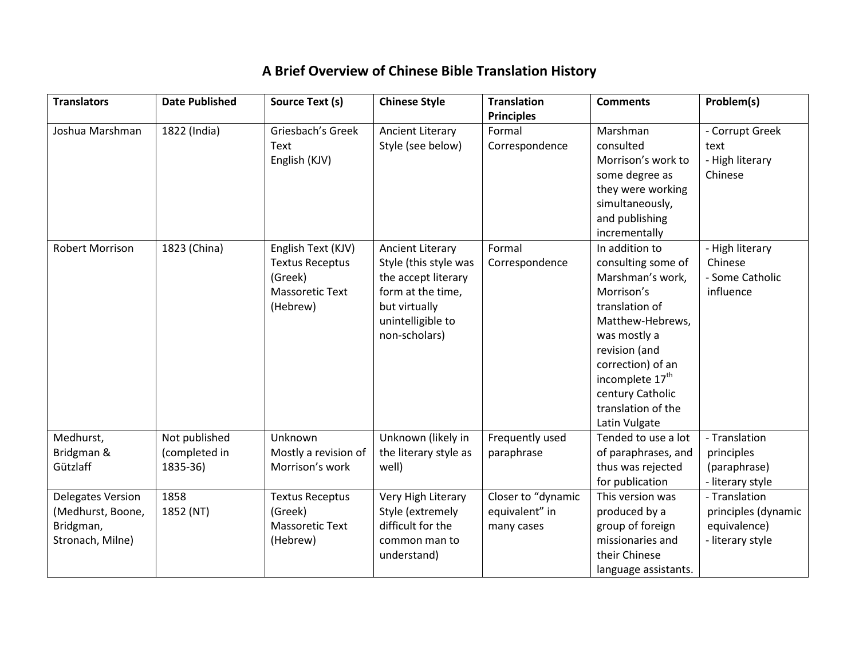## **A Brief Overview of Chinese Bible Translation History**

| <b>Translators</b>     | <b>Date Published</b> | Source Text (s)        | <b>Chinese Style</b>               | <b>Translation</b> | <b>Comments</b>                  | Problem(s)          |
|------------------------|-----------------------|------------------------|------------------------------------|--------------------|----------------------------------|---------------------|
|                        |                       |                        |                                    | <b>Principles</b>  |                                  |                     |
| Joshua Marshman        | 1822 (India)          | Griesbach's Greek      | <b>Ancient Literary</b>            | Formal             | Marshman                         | - Corrupt Greek     |
|                        |                       | Text                   | Style (see below)                  | Correspondence     | consulted                        | text                |
|                        |                       | English (KJV)          |                                    |                    | Morrison's work to               | - High literary     |
|                        |                       |                        |                                    |                    | some degree as                   | Chinese             |
|                        |                       |                        |                                    |                    | they were working                |                     |
|                        |                       |                        |                                    |                    | simultaneously,                  |                     |
|                        |                       |                        |                                    |                    | and publishing                   |                     |
|                        |                       |                        |                                    |                    | incrementally                    |                     |
| <b>Robert Morrison</b> | 1823 (China)          | English Text (KJV)     | <b>Ancient Literary</b>            | Formal             | In addition to                   | - High literary     |
|                        |                       | <b>Textus Receptus</b> | Style (this style was              | Correspondence     | consulting some of               | Chinese             |
|                        |                       | (Greek)                | the accept literary                |                    | Marshman's work,                 | - Some Catholic     |
|                        |                       | <b>Massoretic Text</b> | form at the time,                  |                    | Morrison's                       | influence           |
|                        |                       | (Hebrew)               | but virtually                      |                    | translation of                   |                     |
|                        |                       |                        | unintelligible to<br>non-scholars) |                    | Matthew-Hebrews,<br>was mostly a |                     |
|                        |                       |                        |                                    |                    | revision (and                    |                     |
|                        |                       |                        |                                    |                    | correction) of an                |                     |
|                        |                       |                        |                                    |                    | incomplete 17 <sup>th</sup>      |                     |
|                        |                       |                        |                                    |                    | century Catholic                 |                     |
|                        |                       |                        |                                    |                    | translation of the               |                     |
|                        |                       |                        |                                    |                    | Latin Vulgate                    |                     |
| Medhurst,              | Not published         | Unknown                | Unknown (likely in                 | Frequently used    | Tended to use a lot              | - Translation       |
| Bridgman &             | (completed in         | Mostly a revision of   | the literary style as              | paraphrase         | of paraphrases, and              | principles          |
| Gützlaff               | 1835-36)              | Morrison's work        | well)                              |                    | thus was rejected                | (paraphrase)        |
|                        |                       |                        |                                    |                    | for publication                  | - literary style    |
| Delegates Version      | 1858                  | <b>Textus Receptus</b> | Very High Literary                 | Closer to "dynamic | This version was                 | - Translation       |
| (Medhurst, Boone,      | 1852 (NT)             | (Greek)                | Style (extremely                   | equivalent" in     | produced by a                    | principles (dynamic |
| Bridgman,              |                       | <b>Massoretic Text</b> | difficult for the                  | many cases         | group of foreign                 | equivalence)        |
| Stronach, Milne)       |                       | (Hebrew)               | common man to                      |                    | missionaries and                 | - literary style    |
|                        |                       |                        | understand)                        |                    | their Chinese                    |                     |
|                        |                       |                        |                                    |                    | language assistants.             |                     |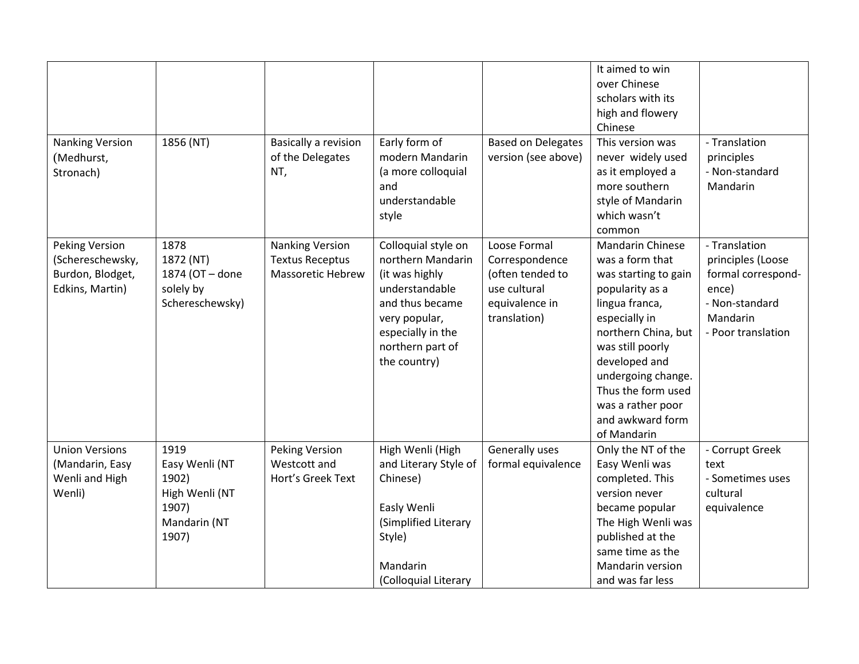| <b>Nanking Version</b><br>(Medhurst,<br>Stronach)                                | 1856 (NT)                                                                           | <b>Basically a revision</b><br>of the Delegates<br>NT,                       | Early form of<br>modern Mandarin<br>(a more colloquial<br>and<br>understandable                                                                                           | <b>Based on Delegates</b><br>version (see above)                                                     | It aimed to win<br>over Chinese<br>scholars with its<br>high and flowery<br>Chinese<br>This version was<br>never widely used<br>as it employed a<br>more southern<br>style of Mandarin                                                                                                   | - Translation<br>principles<br>- Non-standard<br>Mandarin                                                             |
|----------------------------------------------------------------------------------|-------------------------------------------------------------------------------------|------------------------------------------------------------------------------|---------------------------------------------------------------------------------------------------------------------------------------------------------------------------|------------------------------------------------------------------------------------------------------|------------------------------------------------------------------------------------------------------------------------------------------------------------------------------------------------------------------------------------------------------------------------------------------|-----------------------------------------------------------------------------------------------------------------------|
|                                                                                  |                                                                                     |                                                                              | style                                                                                                                                                                     |                                                                                                      | which wasn't<br>common                                                                                                                                                                                                                                                                   |                                                                                                                       |
| <b>Peking Version</b><br>(Schereschewsky,<br>Burdon, Blodget,<br>Edkins, Martin) | 1878<br>1872 (NT)<br>1874 (OT - done<br>solely by<br>Schereschewsky)                | <b>Nanking Version</b><br><b>Textus Receptus</b><br><b>Massoretic Hebrew</b> | Colloquial style on<br>northern Mandarin<br>(it was highly<br>understandable<br>and thus became<br>very popular,<br>especially in the<br>northern part of<br>the country) | Loose Formal<br>Correspondence<br>(often tended to<br>use cultural<br>equivalence in<br>translation) | <b>Mandarin Chinese</b><br>was a form that<br>was starting to gain<br>popularity as a<br>lingua franca,<br>especially in<br>northern China, but<br>was still poorly<br>developed and<br>undergoing change.<br>Thus the form used<br>was a rather poor<br>and awkward form<br>of Mandarin | - Translation<br>principles (Loose<br>formal correspond-<br>ence)<br>- Non-standard<br>Mandarin<br>- Poor translation |
| <b>Union Versions</b><br>(Mandarin, Easy<br>Wenli and High<br>Wenli)             | 1919<br>Easy Wenli (NT<br>1902)<br>High Wenli (NT<br>1907)<br>Mandarin (NT<br>1907) | <b>Peking Version</b><br>Westcott and<br>Hort's Greek Text                   | High Wenli (High<br>and Literary Style of<br>Chinese)<br>Easly Wenli<br>(Simplified Literary<br>Style)<br>Mandarin<br>(Colloquial Literary                                | Generally uses<br>formal equivalence                                                                 | Only the NT of the<br>Easy Wenli was<br>completed. This<br>version never<br>became popular<br>The High Wenli was<br>published at the<br>same time as the<br>Mandarin version<br>and was far less                                                                                         | - Corrupt Greek<br>text<br>- Sometimes uses<br>cultural<br>equivalence                                                |